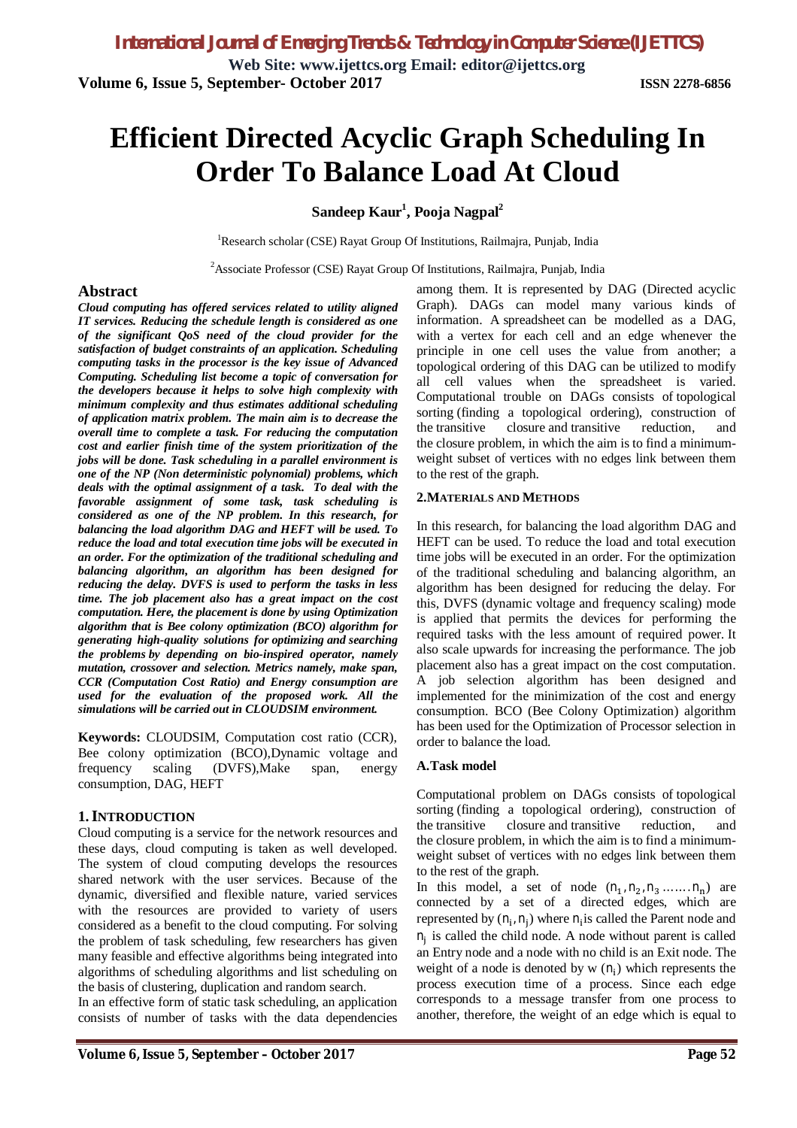**Web Site: www.ijettcs.org Email: editor@ijettcs.org Volume 6, Issue 5, September- October 2017 ISSN 2278-6856**

# **Efficient Directed Acyclic Graph Scheduling In Order To Balance Load At Cloud**

**Sandeep Kaur<sup>1</sup> , Pooja Nagpal<sup>2</sup>**

<sup>1</sup>Research scholar (CSE) Rayat Group Of Institutions, Railmajra, Punjab, India

<sup>2</sup>Associate Professor (CSE) Rayat Group Of Institutions, Railmajra, Punjab, India

#### **Abstract**

*Cloud computing has offered services related to utility aligned IT services. Reducing the schedule length is considered as one of the significant QoS need of the cloud provider for the satisfaction of budget constraints of an application. Scheduling computing tasks in the processor is the key issue of Advanced Computing. Scheduling list become a topic of conversation for the developers because it helps to solve high complexity with minimum complexity and thus estimates additional scheduling of application matrix problem. The main aim is to decrease the overall time to complete a task. For reducing the computation cost and earlier finish time of the system prioritization of the jobs will be done. Task scheduling in a parallel environment is one of the NP (Non deterministic polynomial) problems, which deals with the optimal assignment of a task. To deal with the favorable assignment of some task, task scheduling is considered as one of the NP problem. In this research, for balancing the load algorithm DAG and HEFT will be used. To reduce the load and total execution time jobs will be executed in an order. For the optimization of the traditional scheduling and balancing algorithm, an algorithm has been designed for reducing the delay. DVFS is used to perform the tasks in less time. The job placement also has a great impact on the cost computation. Here, the placement is done by using Optimization algorithm that is Bee colony optimization (BCO) algorithm for generating high-quality solutions for optimizing and searching the problems by depending on bio-inspired operator, namely mutation, crossover and selection. Metrics namely, make span, CCR (Computation Cost Ratio) and Energy consumption are used for the evaluation of the proposed work. All the simulations will be carried out in CLOUDSIM environment.*

**Keywords:** CLOUDSIM, Computation cost ratio (CCR), Bee colony optimization (BCO),Dynamic voltage and frequency scaling (DVFS),Make span, energy consumption, DAG, HEFT

#### **1.INTRODUCTION**

Cloud computing is a service for the network resources and these days, cloud computing is taken as well developed. The system of cloud computing develops the resources shared network with the user services. Because of the dynamic, diversified and flexible nature, varied services with the resources are provided to variety of users considered as a benefit to the cloud computing. For solving the problem of task scheduling, few researchers has given many feasible and effective algorithms being integrated into algorithms of scheduling algorithms and list scheduling on the basis of clustering, duplication and random search.

In an effective form of static task scheduling, an application consists of number of tasks with the data dependencies

among them. It is represented by DAG (Directed acyclic Graph). DAGs can model many various kinds of information. A spreadsheet can be modelled as a DAG, with a vertex for each cell and an edge whenever the principle in one cell uses the value from another; a topological ordering of this DAG can be utilized to modify all cell values when the spreadsheet is varied. Computational trouble on DAGs consists of topological sorting (finding a topological ordering), construction of the transitive closure and transitive reduction, and the closure problem, in which the aim is to find a minimumweight subset of vertices with no edges link between them to the rest of the graph.

#### **2.MATERIALS AND METHODS**

In this research, for balancing the load algorithm DAG and HEFT can be used. To reduce the load and total execution time jobs will be executed in an order. For the optimization of the traditional scheduling and balancing algorithm, an algorithm has been designed for reducing the delay. For this, DVFS (dynamic voltage and frequency scaling) mode is applied that permits the devices for performing the required tasks with the less amount of required power. It also scale upwards for increasing the performance. The job placement also has a great impact on the cost computation. A job selection algorithm has been designed and implemented for the minimization of the cost and energy consumption. BCO (Bee Colony Optimization) algorithm has been used for the Optimization of Processor selection in order to balance the load.

#### **A.Task model**

Computational problem on DAGs consists of topological sorting (finding a topological ordering), construction of the transitive closure and transitive reduction, and the closure problem, in which the aim is to find a minimumweight subset of vertices with no edges link between them to the rest of the graph.

In this model, a set of node  $(n_1, n_2, n_3, \ldots, n_n)$  are connected by a set of a directed edges, which are represented by  $(n_i, n_j)$  where  $n_i$  is called the Parent node and  $n_j$  is called the child node. A node without parent is called an Entry node and a node with no child is an Exit node. The weight of a node is denoted by  $w(n_i)$  which represents the process execution time of a process. Since each edge corresponds to a message transfer from one process to another, therefore, the weight of an edge which is equal to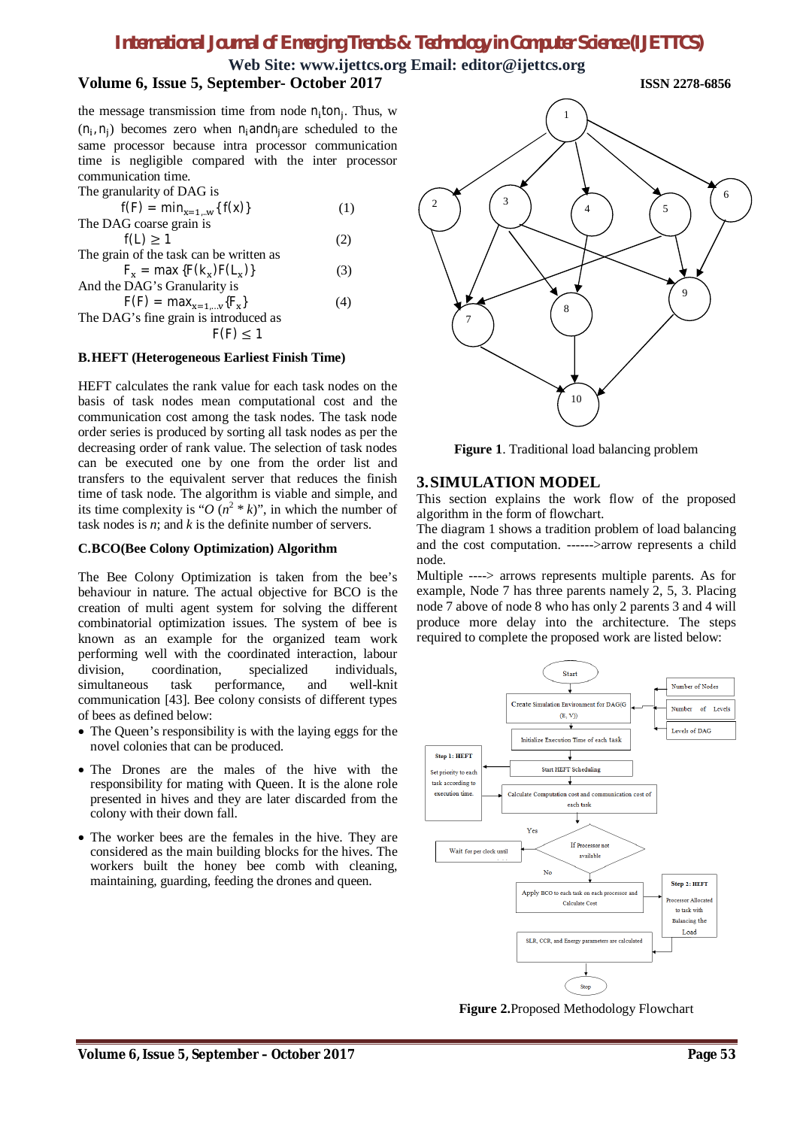# **Web Site: www.ijettcs.org Email: editor@ijettcs.org**

the message transmission time from node  $n_i$ ton<sub>j</sub>. Thus, w  $(n_i, n_j)$  becomes zero when n<sub>i</sub>andn<sub>j</sub>are scheduled to the same processor because intra processor communication time is negligible compared with the inter processor communication time.

The granularity of DAG is

| $f(F) = min_{x=1W} {f(x)}$              | (1) |
|-----------------------------------------|-----|
| The DAG coarse grain is                 |     |
| $f(L) \geq 1$                           | (2) |
| The grain of the task can be written as |     |
| $F_x = \max \{F(k_x)F(L_x)\}$           | (3) |
| And the DAG's Granularity is            |     |
| $F(F) = max_{x=1y} {F_x}$               | (4) |
| The DAG's fine grain is introduced as   |     |

 $F(F) \leq 1$ 

#### **B.HEFT (Heterogeneous Earliest Finish Time)**

HEFT calculates the rank value for each task nodes on the basis of task nodes mean computational cost and the communication cost among the task nodes. The task node order series is produced by sorting all task nodes as per the decreasing order of rank value. The selection of task nodes can be executed one by one from the order list and transfers to the equivalent server that reduces the finish time of task node. The algorithm is viable and simple, and its time complexity is " $O(n^2 * k)$ ", in which the number of task nodes is *n*; and *k* is the definite number of servers.

#### **C.BCO(Bee Colony Optimization) Algorithm**

The Bee Colony Optimization is taken from the bee's behaviour in nature. The actual objective for BCO is the creation of multi agent system for solving the different combinatorial optimization issues. The system of bee is known as an example for the organized team work performing well with the coordinated interaction, labour division, coordination, specialized individuals, simultaneous task performance, and well-knit communication [43]. Bee colony consists of different types of bees as defined below:

- The Queen's responsibility is with the laying eggs for the novel colonies that can be produced.
- The Drones are the males of the hive with the responsibility for mating with Queen. It is the alone role presented in hives and they are later discarded from the colony with their down fall.
- The worker bees are the females in the hive. They are considered as the main building blocks for the hives. The workers built the honey bee comb with cleaning, maintaining, guarding, feeding the drones and queen.



**Figure 1**. Traditional load balancing problem

#### **3.SIMULATION MODEL**

This section explains the work flow of the proposed algorithm in the form of flowchart.

The diagram 1 shows a tradition problem of load balancing and the cost computation. ------>arrow represents a child node.

Multiple ----> arrows represents multiple parents. As for example, Node 7 has three parents namely 2, 5, 3. Placing node 7 above of node 8 who has only 2 parents 3 and 4 will produce more delay into the architecture. The steps required to complete the proposed work are listed below:



**Figure 2.**Proposed Methodology Flowchart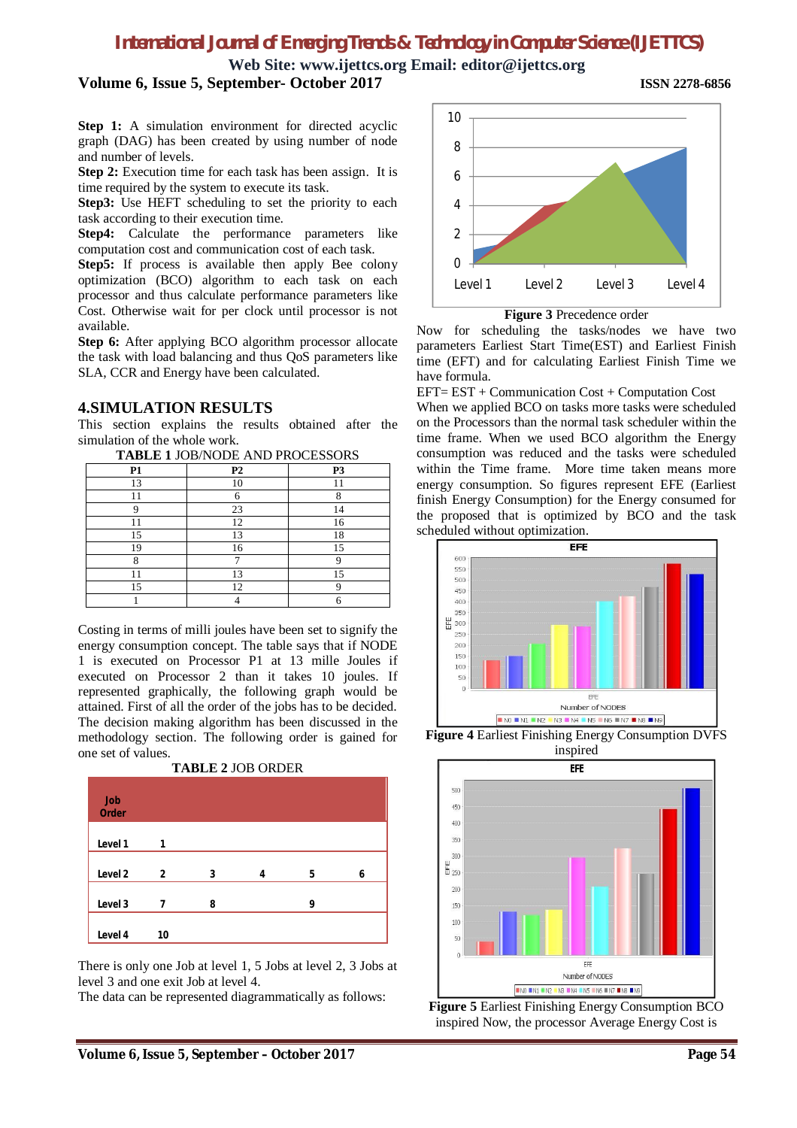**Web Site: www.ijettcs.org Email: editor@ijettcs.org Volume 6, Issue 5, September- October 2017 ISSN 2278-6856**

**Step 1:** A simulation environment for directed acyclic graph (DAG) has been created by using number of node and number of levels.

**Step 2:** Execution time for each task has been assign. It is time required by the system to execute its task.

**Step3:** Use HEFT scheduling to set the priority to each task according to their execution time.

Step4: Calculate the performance parameters like computation cost and communication cost of each task.

Step5: If process is available then apply Bee colony optimization (BCO) algorithm to each task on each processor and thus calculate performance parameters like Cost. Otherwise wait for per clock until processor is not available.

**Step 6:** After applying BCO algorithm processor allocate the task with load balancing and thus QoS parameters like SLA, CCR and Energy have been calculated.

#### **4.SIMULATION RESULTS**

This section explains the results obtained after the simulation of the whole work.

| <b>TABLE 1 JOB/NODE AND PROCESSORS</b> |           |                |
|----------------------------------------|-----------|----------------|
| P1                                     | <b>P2</b> | P <sub>3</sub> |
| 13                                     | 10        |                |
|                                        |           | 8              |
|                                        | 23        | 14             |
|                                        | 12        | 16             |
| 15                                     | 13        | 18             |
| 19                                     | 16        | 15             |
|                                        |           |                |
|                                        | 13        | 15             |
| 15                                     | 12        |                |
|                                        |           |                |

Costing in terms of milli joules have been set to signify the energy consumption concept. The table says that if NODE 1 is executed on Processor P1 at 13 mille Joules if executed on Processor 2 than it takes 10 joules. If represented graphically, the following graph would be attained. First of all the order of the jobs has to be decided. The decision making algorithm has been discussed in the methodology section. The following order is gained for one set of values.



**TABLE 2** JOB ORDER

There is only one Job at level 1, 5 Jobs at level 2, 3 Jobs at level 3 and one exit Job at level 4.

The data can be represented diagrammatically as follows:



**Figure 3** Precedence order

Now for scheduling the tasks/nodes we have two parameters Earliest Start Time(EST) and Earliest Finish time (EFT) and for calculating Earliest Finish Time we have formula.

EFT= EST + Communication Cost + Computation Cost When we applied BCO on tasks more tasks were scheduled on the Processors than the normal task scheduler within the time frame. When we used BCO algorithm the Energy consumption was reduced and the tasks were scheduled within the Time frame. More time taken means more energy consumption. So figures represent EFE (Earliest finish Energy Consumption) for the Energy consumed for the proposed that is optimized by BCO and the task scheduled without optimization.



**Figure 4** Earliest Finishing Energy Consumption DVFS inspired



**Figure 5** Earliest Finishing Energy Consumption BCO inspired Now, the processor Average Energy Cost is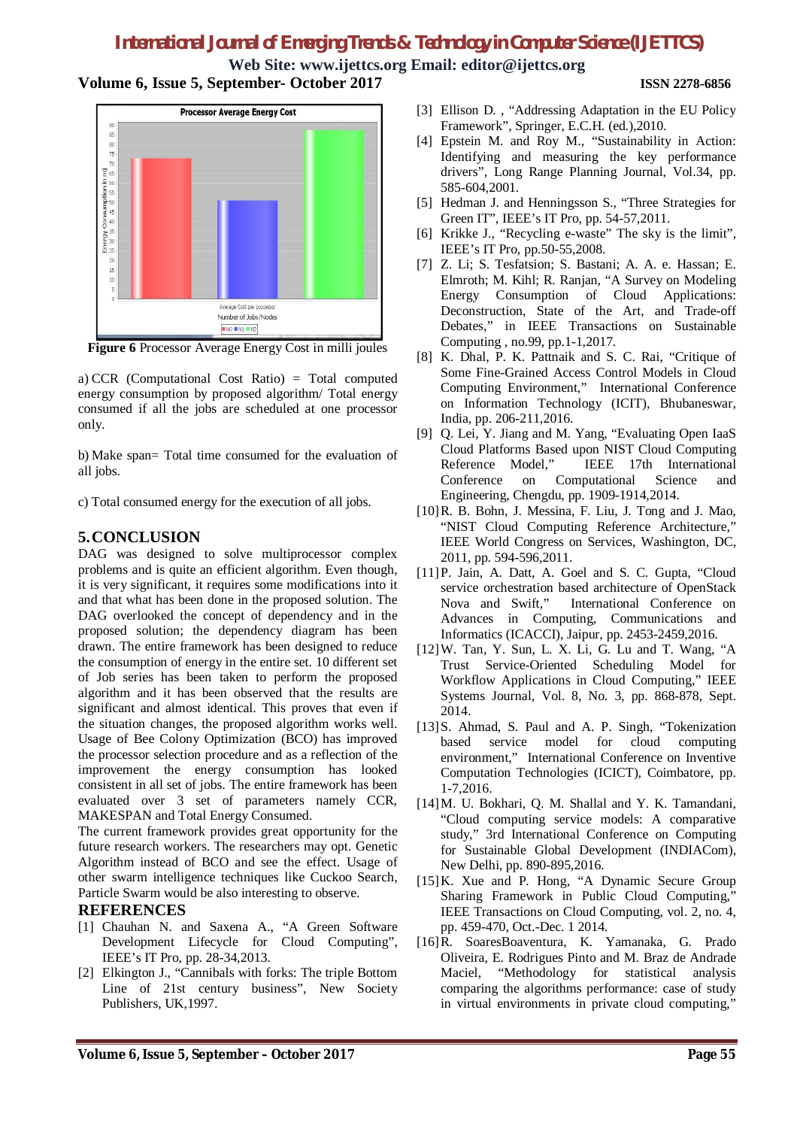**Web Site: www.ijettcs.org Email: editor@ijettcs.org Volume 6, Issue 5, September- October 2017 ISSN 2278-6856**



**Figure 6** Processor Average Energy Cost in milli joules

a) CCR (Computational Cost Ratio) = Total computed energy consumption by proposed algorithm/ Total energy consumed if all the jobs are scheduled at one processor only.

b) Make span= Total time consumed for the evaluation of all jobs.

c) Total consumed energy for the execution of all jobs.

### **5.CONCLUSION**

DAG was designed to solve multiprocessor complex problems and is quite an efficient algorithm. Even though, it is very significant, it requires some modifications into it and that what has been done in the proposed solution. The DAG overlooked the concept of dependency and in the proposed solution; the dependency diagram has been drawn. The entire framework has been designed to reduce the consumption of energy in the entire set. 10 different set of Job series has been taken to perform the proposed algorithm and it has been observed that the results are significant and almost identical. This proves that even if the situation changes, the proposed algorithm works well. Usage of Bee Colony Optimization (BCO) has improved the processor selection procedure and as a reflection of the improvement the energy consumption has looked consistent in all set of jobs. The entire framework has been evaluated over 3 set of parameters namely CCR, MAKESPAN and Total Energy Consumed.

The current framework provides great opportunity for the future research workers. The researchers may opt. Genetic Algorithm instead of BCO and see the effect. Usage of other swarm intelligence techniques like Cuckoo Search, Particle Swarm would be also interesting to observe.

#### **REFERENCES**

- [1] Chauhan N. and Saxena A., "A Green Software Development Lifecycle for Cloud Computing", IEEE's IT Pro, pp. 28-34,2013.
- [2] Elkington J., "Cannibals with forks: The triple Bottom Line of 21st century business", New Society Publishers, UK,1997.
- [3] Ellison D. , "Addressing Adaptation in the EU Policy Framework", Springer, E.C.H. (ed.),2010.
- [4] Epstein M. and Roy M., "Sustainability in Action: Identifying and measuring the key performance drivers", Long Range Planning Journal, Vol.34, pp. 585-604,2001.
- [5] Hedman J. and Henningsson S., "Three Strategies for Green IT", IEEE's IT Pro, pp. 54-57,2011.
- [6] Krikke J., "Recycling e-waste" The sky is the limit", IEEE's IT Pro, pp.50-55,2008.
- [7] Z. Li; S. Tesfatsion; S. Bastani; A. A. e. Hassan; E. Elmroth; M. Kihl; R. Ranjan, "A Survey on Modeling Energy Consumption of Cloud Applications: Deconstruction, State of the Art, and Trade-off Debates," in IEEE Transactions on Sustainable Computing , no.99, pp.1-1,2017.
- [8] K. Dhal, P. K. Pattnaik and S. C. Rai, "Critique of Some Fine-Grained Access Control Models in Cloud Computing Environment," International Conference on Information Technology (ICIT), Bhubaneswar, India, pp. 206-211,2016.
- [9] Q. Lei, Y. Jiang and M. Yang, "Evaluating Open IaaS Cloud Platforms Based upon NIST Cloud Computing Reference Model," IEEE 17th International Conference on Computational Science and Engineering, Chengdu, pp. 1909-1914,2014.
- [10]R. B. Bohn, J. Messina, F. Liu, J. Tong and J. Mao, "NIST Cloud Computing Reference Architecture," IEEE World Congress on Services, Washington, DC, 2011, pp. 594-596,2011.
- [11]P. Jain, A. Datt, A. Goel and S. C. Gupta, "Cloud service orchestration based architecture of OpenStack Nova and Swift," International Conference on Advances in Computing, Communications and Informatics (ICACCI), Jaipur, pp. 2453-2459,2016.
- [12]W. Tan, Y. Sun, L. X. Li, G. Lu and T. Wang, "A Trust Service-Oriented Scheduling Model for Workflow Applications in Cloud Computing," IEEE Systems Journal, Vol. 8, No. 3, pp. 868-878, Sept. 2014.
- [13]S. Ahmad, S. Paul and A. P. Singh, "Tokenization based service model for cloud computing environment," International Conference on Inventive Computation Technologies (ICICT), Coimbatore, pp. 1-7,2016.
- [14] M. U. Bokhari, Q. M. Shallal and Y. K. Tamandani, "Cloud computing service models: A comparative study," 3rd International Conference on Computing for Sustainable Global Development (INDIACom), New Delhi, pp. 890-895,2016.
- [15]K. Xue and P. Hong, "A Dynamic Secure Group Sharing Framework in Public Cloud Computing," IEEE Transactions on Cloud Computing, vol. 2, no. 4, pp. 459-470, Oct.-Dec. 1 2014.
- [16]R. SoaresBoaventura, K. Yamanaka, G. Prado Oliveira, E. Rodrigues Pinto and M. Braz de Andrade Maciel, "Methodology for statistical analysis comparing the algorithms performance: case of study in virtual environments in private cloud computing,"